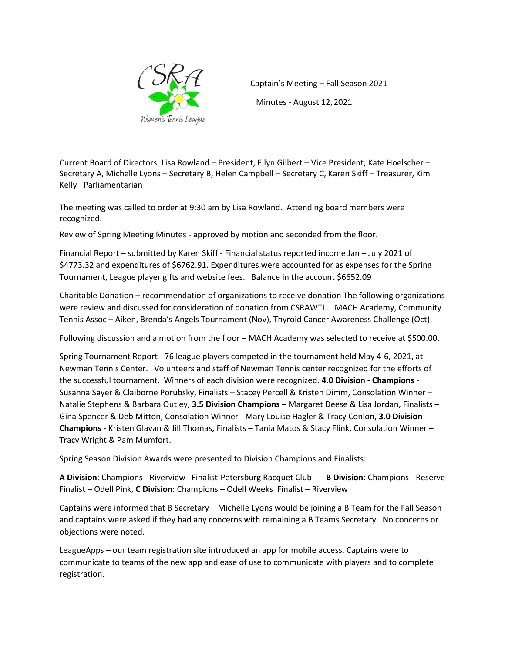

Captain's Meeting – Fall Season 2021 Minutes - August 12, 2021

Current Board of Directors: Lisa Rowland – President, Ellyn Gilbert – Vice President, Kate Hoelscher – Secretary A, Michelle Lyons – Secretary B, Helen Campbell – Secretary C, Karen Skiff – Treasurer, Kim Kelly –Parliamentarian

The meeting was called to order at 9:30 am by Lisa Rowland. Attending board members were recognized.

Review of Spring Meeting Minutes - approved by motion and seconded from the floor.

Financial Report – submitted by Karen Skiff - Financial status reported income Jan – July 2021 of \$4773.32 and expenditures of \$6762.91. Expenditures were accounted for as expenses for the Spring Tournament, League player gifts and website fees. Balance in the account \$6652.09

Charitable Donation – recommendation of organizations to receive donation The following organizations were review and discussed for consideration of donation from CSRAWTL. MACH Academy, Community Tennis Assoc – Aiken, Brenda's Angels Tournament (Nov), Thyroid Cancer Awareness Challenge (Oct).

Following discussion and a motion from the floor – MACH Academy was selected to receive at \$500.00.

Spring Tournament Report - 76 league players competed in the tournament held May 4-6, 2021, at Newman Tennis Center. Volunteers and staff of Newman Tennis center recognized for the efforts of the successful tournament. Winners of each division were recognized. **4.0 Division - Champions** - Susanna Sayer & Claiborne Porubsky, Finalists – Stacey Percell & Kristen Dimm, Consolation Winner – Natalie Stephens & Barbara Outley, **3.5 Division Champions –** Margaret Deese & Lisa Jordan, Finalists – Gina Spencer & Deb Mitton, Consolation Winner - Mary Louise Hagler & Tracy Conlon, **3.0 Division Champions** - Kristen Glavan & Jill Thomas**,** Finalists – Tania Matos & Stacy Flink, Consolation Winner – Tracy Wright & Pam Mumfort.

Spring Season Division Awards were presented to Division Champions and Finalists:

**A Division**: Champions - Riverview Finalist-Petersburg Racquet Club **B Division**: Champions - Reserve Finalist – Odell Pink, **C Division**: Champions – Odell Weeks Finalist – Riverview

Captains were informed that B Secretary – Michelle Lyons would be joining a B Team for the Fall Season and captains were asked if they had any concerns with remaining a B Teams Secretary. No concerns or objections were noted.

LeagueApps – our team registration site introduced an app for mobile access. Captains were to communicate to teams of the new app and ease of use to communicate with players and to complete registration.